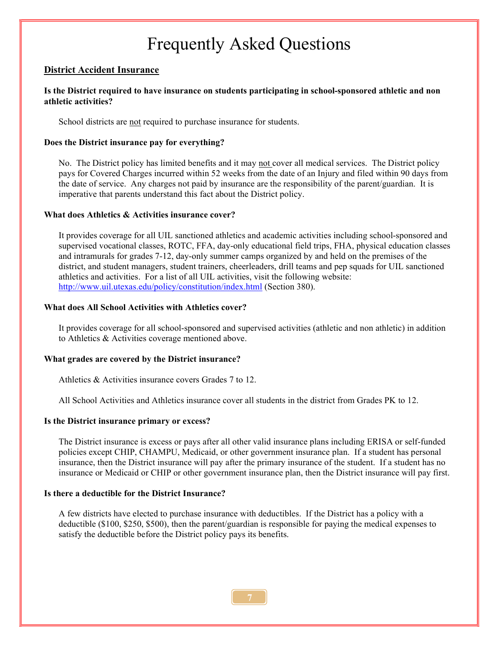## Frequently Asked Questions

#### District Accident Insurance

#### Is the District required to have insurance on students participating in school-sponsored athletic and non athletic activities?

School districts are not required to purchase insurance for students.

#### Does the District insurance pay for everything?

No. The District policy has limited benefits and it may not cover all medical services. The District policy pays for Covered Charges incurred within 52 weeks from the date of an Injury and filed within 90 days from the date of service. Any charges not paid by insurance are the responsibility of the parent/guardian. It is imperative that parents understand this fact about the District policy.

#### What does Athletics & Activities insurance cover?

 It provides coverage for all UIL sanctioned athletics and academic activities including school-sponsored and supervised vocational classes, ROTC, FFA, day-only educational field trips, FHA, physical education classes and intramurals for grades 7-12, day-only summer camps organized by and held on the premises of the district, and student managers, student trainers, cheerleaders, drill teams and pep squads for UIL sanctioned athletics and activities. For a list of all UIL activities, visit the following website: http://www.uil.utexas.edu/policy/constitution/index.html (Section 380).

#### What does All School Activities with Athletics cover?

 It provides coverage for all school-sponsored and supervised activities (athletic and non athletic) in addition to Athletics & Activities coverage mentioned above.

#### What grades are covered by the District insurance?

Athletics & Activities insurance covers Grades 7 to 12.

All School Activities and Athletics insurance cover all students in the district from Grades PK to 12.

#### Is the District insurance primary or excess?

 The District insurance is excess or pays after all other valid insurance plans including ERISA or self-funded policies except CHIP, CHAMPU, Medicaid, or other government insurance plan. If a student has personal insurance, then the District insurance will pay after the primary insurance of the student. If a student has no insurance or Medicaid or CHIP or other government insurance plan, then the District insurance will pay first.

#### Is there a deductible for the District Insurance?

 A few districts have elected to purchase insurance with deductibles. If the District has a policy with a deductible (\$100, \$250, \$500), then the parent/guardian is responsible for paying the medical expenses to satisfy the deductible before the District policy pays its benefits.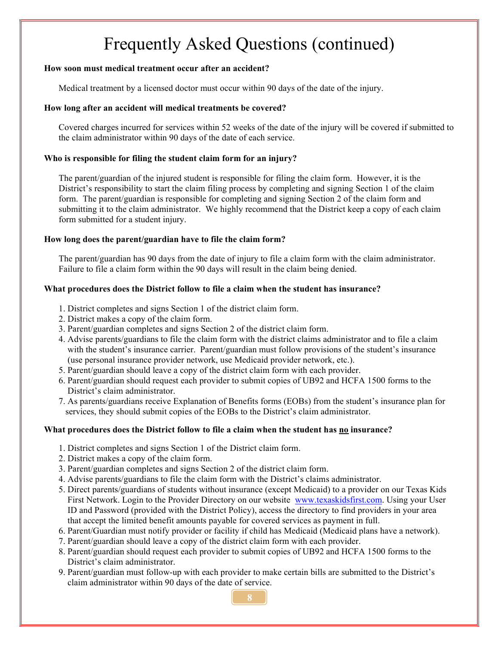# Frequently Asked Questions (continued)

#### How soon must medical treatment occur after an accident?

Medical treatment by a licensed doctor must occur within 90 days of the date of the injury.

#### How long after an accident will medical treatments be covered?

 Covered charges incurred for services within 52 weeks of the date of the injury will be covered if submitted to the claim administrator within 90 days of the date of each service.

#### Who is responsible for filing the student claim form for an injury?

 The parent/guardian of the injured student is responsible for filing the claim form. However, it is the District's responsibility to start the claim filing process by completing and signing Section 1 of the claim form. The parent/guardian is responsible for completing and signing Section 2 of the claim form and submitting it to the claim administrator. We highly recommend that the District keep a copy of each claim form submitted for a student injury.

#### How long does the parent/guardian have to file the claim form?

 The parent/guardian has 90 days from the date of injury to file a claim form with the claim administrator. Failure to file a claim form within the 90 days will result in the claim being denied.

#### What procedures does the District follow to file a claim when the student has insurance?

- 1. District completes and signs Section 1 of the district claim form.
- 2. District makes a copy of the claim form.
- 3. Parent/guardian completes and signs Section 2 of the district claim form.
- 4. Advise parents/guardians to file the claim form with the district claims administrator and to file a claim with the student's insurance carrier. Parent/guardian must follow provisions of the student's insurance (use personal insurance provider network, use Medicaid provider network, etc.).
- 5. Parent/guardian should leave a copy of the district claim form with each provider.
- 6. Parent/guardian should request each provider to submit copies of UB92 and HCFA 1500 forms to the District's claim administrator.
- 7. As parents/guardians receive Explanation of Benefits forms (EOBs) from the student's insurance plan for services, they should submit copies of the EOBs to the District's claim administrator.

#### What procedures does the District follow to file a claim when the student has no insurance?

- 1. District completes and signs Section 1 of the District claim form.
- 2. District makes a copy of the claim form.
- 3. Parent/guardian completes and signs Section 2 of the district claim form.
- 4. Advise parents/guardians to file the claim form with the District's claims administrator.
- 5. Direct parents/guardians of students without insurance (except Medicaid) to a provider on our Texas Kids First Network. Login to the Provider Directory on our website www.texaskidsfirst.com. Using your User ID and Password (provided with the District Policy), access the directory to find providers in your area that accept the limited benefit amounts payable for covered services as payment in full.
- 6. Parent/Guardian must notify provider or facility if child has Medicaid (Medicaid plans have a network).
- 7. Parent/guardian should leave a copy of the district claim form with each provider.
- 8. Parent/guardian should request each provider to submit copies of UB92 and HCFA 1500 forms to the District's claim administrator.
- 9. Parent/guardian must follow-up with each provider to make certain bills are submitted to the District's claim administrator within 90 days of the date of service.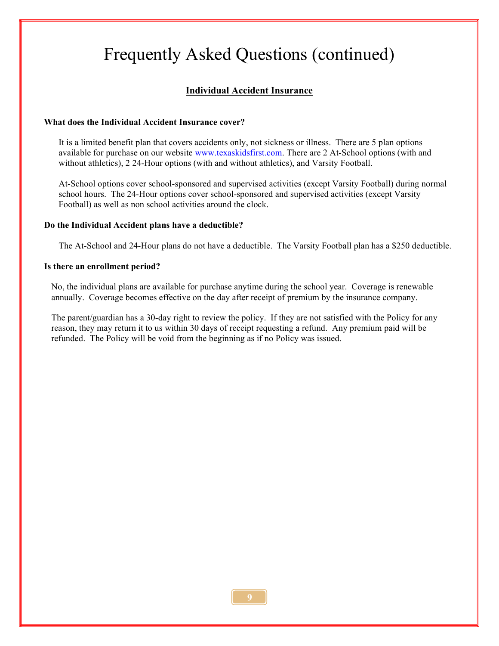# Frequently Asked Questions (continued)

### Individual Accident Insurance

#### What does the Individual Accident Insurance cover?

 It is a limited benefit plan that covers accidents only, not sickness or illness. There are 5 plan options available for purchase on our website www.texaskidsfirst.com. There are 2 At-School options (with and without athletics), 2 24-Hour options (with and without athletics), and Varsity Football.

 At-School options cover school-sponsored and supervised activities (except Varsity Football) during normal school hours. The 24-Hour options cover school-sponsored and supervised activities (except Varsity Football) as well as non school activities around the clock.

#### Do the Individual Accident plans have a deductible?

The At-School and 24-Hour plans do not have a deductible. The Varsity Football plan has a \$250 deductible.

#### Is there an enrollment period?

 No, the individual plans are available for purchase anytime during the school year. Coverage is renewable annually. Coverage becomes effective on the day after receipt of premium by the insurance company.

 The parent/guardian has a 30-day right to review the policy. If they are not satisfied with the Policy for any reason, they may return it to us within 30 days of receipt requesting a refund. Any premium paid will be refunded. The Policy will be void from the beginning as if no Policy was issued.